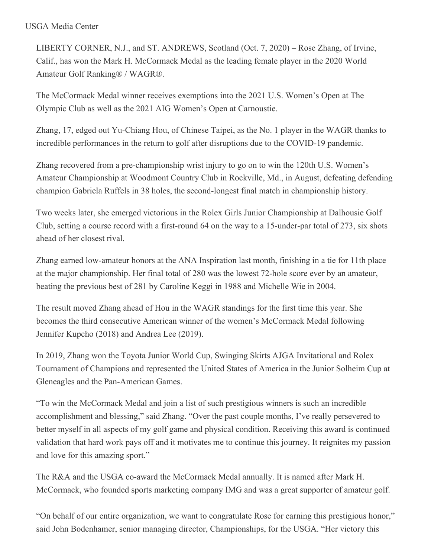### USGA Media Center

LIBERTY CORNER, N.J., and ST. ANDREWS, Scotland (Oct. 7, 2020) – Rose Zhang, of Irvine, Calif., has won the Mark H. McCormack Medal as the leading female player in the 2020 World Amateur Golf Ranking® / WAGR®.

The McCormack Medal winner receives exemptions into the 2021 U.S. Women's Open at The Olympic Club as well as the 2021 AIG Women's Open at Carnoustie.

Zhang, 17, edged out Yu-Chiang Hou, of Chinese Taipei, as the No. 1 player in the WAGR thanks to incredible performances in the return to golf after disruptions due to the COVID-19 pandemic.

Zhang recovered from a pre-championship wrist injury to go on to win the 120th U.S. Women's Amateur Championship at Woodmont Country Club in Rockville, Md., in August, defeating defending champion Gabriela Ruffels in 38 holes, the second-longest final match in championship history.

Two weeks later, she emerged victorious in the Rolex Girls Junior Championship at Dalhousie Golf Club, setting a course record with a first-round 64 on the way to a 15-under-par total of 273, six shots ahead of her closest rival.

Zhang earned low-amateur honors at the ANA Inspiration last month, finishing in a tie for 11th place at the major championship. Her final total of 280 was the lowest 72-hole score ever by an amateur, beating the previous best of 281 by Caroline Keggi in 1988 and Michelle Wie in 2004.

The result moved Zhang ahead of Hou in the WAGR standings for the first time this year. She becomes the third consecutive American winner of the women's McCormack Medal following Jennifer Kupcho (2018) and Andrea Lee (2019).

In 2019, Zhang won the Toyota Junior World Cup, Swinging Skirts AJGA Invitational and Rolex Tournament of Champions and represented the United States of America in the Junior Solheim Cup at Gleneagles and the Pan-American Games.

"To win the McCormack Medal and join a list of such prestigious winners is such an incredible accomplishment and blessing," said Zhang. "Over the past couple months, I've really persevered to better myself in all aspects of my golf game and physical condition. Receiving this award is continued validation that hard work pays off and it motivates me to continue this journey. It reignites my passion and love for this amazing sport."

The R&A and the USGA co-award the McCormack Medal annually. It is named after Mark H. McCormack, who founded sports marketing company IMG and was a great supporter of amateur golf.

"On behalf of our entire organization, we want to congratulate Rose for earning this prestigious honor," said John Bodenhamer, senior managing director, Championships, for the USGA. "Her victory this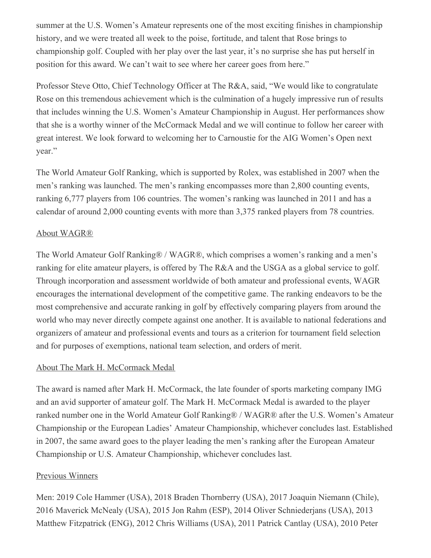summer at the U.S. Women's Amateur represents one of the most exciting finishes in championship history, and we were treated all week to the poise, fortitude, and talent that Rose brings to championship golf. Coupled with her play over the last year, it's no surprise she has put herself in position for this award. We can't wait to see where her career goes from here."

Professor Steve Otto, Chief Technology Officer at The R&A, said, "We would like to congratulate Rose on this tremendous achievement which is the culmination of a hugely impressive run of results that includes winning the U.S. Women's Amateur Championship in August. Her performances show that she is a worthy winner of the McCormack Medal and we will continue to follow her career with great interest. We look forward to welcoming her to Carnoustie for the AIG Women's Open next year."

The World Amateur Golf Ranking, which is supported by Rolex, was established in 2007 when the men's ranking was launched. The men's ranking encompasses more than 2,800 counting events, ranking 6,777 players from 106 countries. The women's ranking was launched in 2011 and has a calendar of around 2,000 counting events with more than 3,375 ranked players from 78 countries.

### About WAGR®

The World Amateur Golf Ranking® / WAGR®, which comprises a women's ranking and a men's ranking for elite amateur players, is offered by The R&A and the USGA as a global service to golf. Through incorporation and assessment worldwide of both amateur and professional events, WAGR encourages the international development of the competitive game. The ranking endeavors to be the most comprehensive and accurate ranking in golf by effectively comparing players from around the world who may never directly compete against one another. It is available to national federations and organizers of amateur and professional events and tours as a criterion for tournament field selection and for purposes of exemptions, national team selection, and orders of merit.

### About The Mark H. McCormack Medal

The award is named after Mark H. McCormack, the late founder of sports marketing company IMG and an avid supporter of amateur golf. The Mark H. McCormack Medal is awarded to the player ranked number one in the World Amateur Golf Ranking® / WAGR® after the U.S. Women's Amateur Championship or the European Ladies' Amateur Championship, whichever concludes last. Established in 2007, the same award goes to the player leading the men's ranking after the European Amateur Championship or U.S. Amateur Championship, whichever concludes last.

## Previous Winners

Men: 2019 Cole Hammer (USA), 2018 Braden Thornberry (USA), 2017 Joaquin Niemann (Chile), 2016 Maverick McNealy (USA), 2015 Jon Rahm (ESP), 2014 Oliver Schniederjans (USA), 2013 Matthew Fitzpatrick (ENG), 2012 Chris Williams (USA), 2011 Patrick Cantlay (USA), 2010 Peter